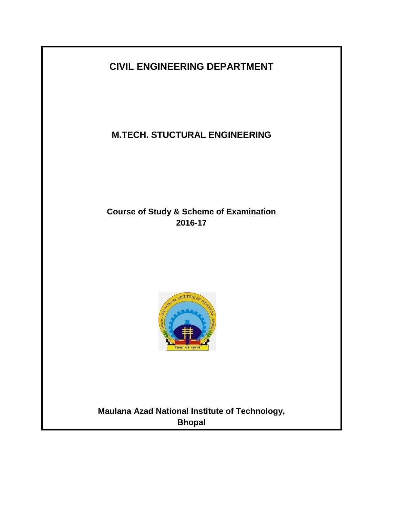# **CIVIL ENGINEERING DEPARTMENT**

**M.TECH. STUCTURAL ENGINEERING**

# **Course of Study & Scheme of Examination 2016-17**



**Maulana Azad National Institute of Technology, Bhopal**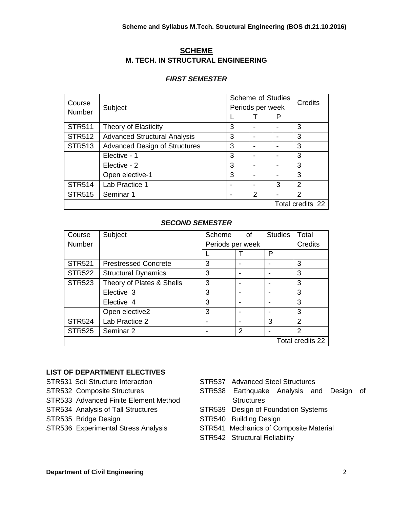# **SCHEME M. TECH. IN STRUCTURAL ENGINEERING**

# *FIRST SEMESTER*

| Course<br>Number | Subject                              | <b>Scheme of Studies</b><br>Periods per week |   |                  | Credits       |
|------------------|--------------------------------------|----------------------------------------------|---|------------------|---------------|
|                  |                                      |                                              |   | P                |               |
| <b>STR511</b>    | Theory of Elasticity                 | 3                                            |   | -                | 3             |
| <b>STR512</b>    | <b>Advanced Structural Analysis</b>  | 3                                            |   | -                | 3             |
| <b>STR513</b>    | <b>Advanced Design of Structures</b> | 3                                            |   | -                | 3             |
|                  | Elective - 1                         | 3                                            |   |                  | 3             |
|                  | Elective - 2                         | 3                                            |   |                  | 3             |
|                  | Open elective-1                      | 3                                            |   | -                | 3             |
| <b>STR514</b>    | Lab Practice 1                       |                                              |   | 3                | $\mathcal{P}$ |
| <b>STR515</b>    | Seminar 1                            |                                              | 2 |                  | 2             |
|                  |                                      |                                              |   | Total credits 22 |               |

# *SECOND SEMESTER*

| Course           | Subject                     | Scheme           | οf | <b>Studies</b> | Total          |
|------------------|-----------------------------|------------------|----|----------------|----------------|
| Number           |                             | Periods per week |    |                | Credits        |
|                  |                             |                  |    | P              |                |
| <b>STR521</b>    | <b>Prestressed Concrete</b> | 3                |    |                | 3              |
| <b>STR522</b>    | <b>Structural Dynamics</b>  | 3                |    |                | 3              |
| <b>STR523</b>    | Theory of Plates & Shells   | 3                |    |                | 3              |
|                  | Elective 3                  | 3                |    |                | 3              |
|                  | Elective 4                  | 3                |    |                | 3              |
|                  | Open elective2              | 3                |    |                | 3              |
| <b>STR524</b>    | Lab Practice 2              | -                |    | 3              | $\mathfrak{p}$ |
| <b>STR525</b>    | Seminar 2                   | -                | 2  |                | $\mathfrak{p}$ |
| Total credits 22 |                             |                  |    |                |                |

# **LIST OF DEPARTMENT ELECTIVES**

- STR531 Soil Structure Interaction
- STR532 Composite Structures
- STR533 Advanced Finite Element Method
- STR534 Analysis of Tall Structures
- STR535 Bridge Design
- STR536 Experimental Stress Analysis
- STR537 Advanced Steel Structures
- STR538 Earthquake Analysis and Design of **Structures**
- STR539 Design of Foundation Systems
- STR540 Building Design
- STR541 Mechanics of Composite Material
- STR542 Structural Reliability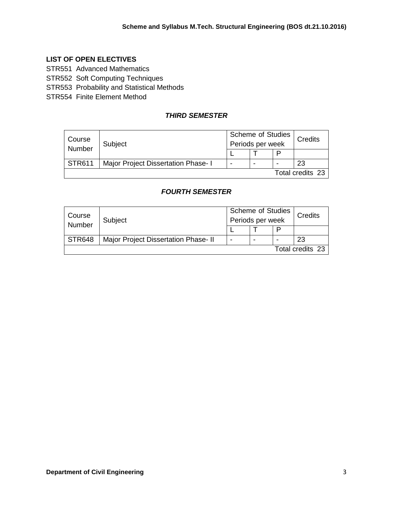# **LIST OF OPEN ELECTIVES**

STR551 Advanced Mathematics

STR552 Soft Computing Techniques

STR553 Probability and Statistical Methods

STR554 Finite Element Method

# *THIRD SEMESTER*

| Course<br>Number | Subject                             | <b>Scheme of Studies</b><br>Periods per week |   |   | Credits |
|------------------|-------------------------------------|----------------------------------------------|---|---|---------|
|                  |                                     |                                              |   | D |         |
| <b>STR611</b>    | Major Project Dissertation Phase- I | -                                            | - | - | 23      |
| Total credits 23 |                                     |                                              |   |   |         |

# *FOURTH SEMESTER*

| Course<br>Number | Subject                              | Scheme of Studies<br>Periods per week |  |   | Credits |
|------------------|--------------------------------------|---------------------------------------|--|---|---------|
|                  |                                      |                                       |  | D |         |
| <b>STR648</b>    | Major Project Dissertation Phase- II |                                       |  |   | 23      |
| Total credits 23 |                                      |                                       |  |   |         |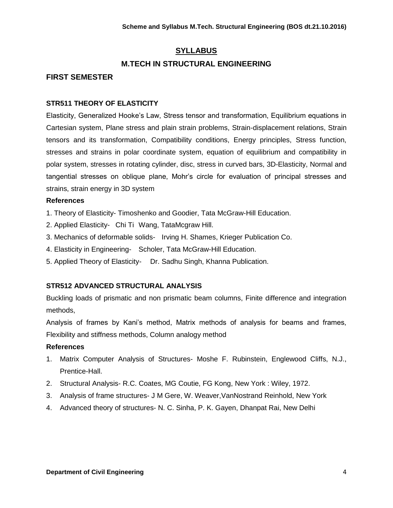# **SYLLABUS**

# **M.TECH IN STRUCTURAL ENGINEERING**

# **FIRST SEMESTER**

# **STR511 THEORY OF ELASTICITY**

Elasticity, Generalized Hooke's Law, Stress tensor and transformation, Equilibrium equations in Cartesian system, Plane stress and plain strain problems, Strain-displacement relations, Strain tensors and its transformation, Compatibility conditions, Energy principles, Stress function, stresses and strains in polar coordinate system, equation of equilibrium and compatibility in polar system, stresses in rotating cylinder, disc, stress in curved bars, 3D-Elasticity, Normal and tangential stresses on oblique plane, Mohr's circle for evaluation of principal stresses and strains, strain energy in 3D system

#### **References**

- 1. Theory of Elasticity- Timoshenko and Goodier, Tata McGraw-Hill Education.
- 2. Applied Elasticity- Chi Ti Wang, TataMcgraw Hill.
- 3. Mechanics of deformable solids- Irving H. Shames, Krieger Publication Co.
- 4. Elasticity in Engineering- Scholer, Tata McGraw-Hill Education.
- 5. Applied Theory of Elasticity- Dr. Sadhu Singh, Khanna Publication.

# **STR512 ADVANCED STRUCTURAL ANALYSIS**

Buckling loads of prismatic and non prismatic beam columns, Finite difference and integration methods,

Analysis of frames by Kani's method, Matrix methods of analysis for beams and frames, Flexibility and stiffness methods, Column analogy method

# **References**

- 1. Matrix Computer Analysis of Structures- Moshe F. Rubinstein, Englewood Cliffs, N.J., Prentice-Hall.
- 2. Structural Analysis- R.C. Coates, MG Coutie, FG Kong, New York : Wiley, 1972.
- 3. Analysis of frame structures- J M Gere, W. Weaver,VanNostrand Reinhold, New York
- 4. Advanced theory of structures- N. C. Sinha, P. K. Gayen, Dhanpat Rai, New Delhi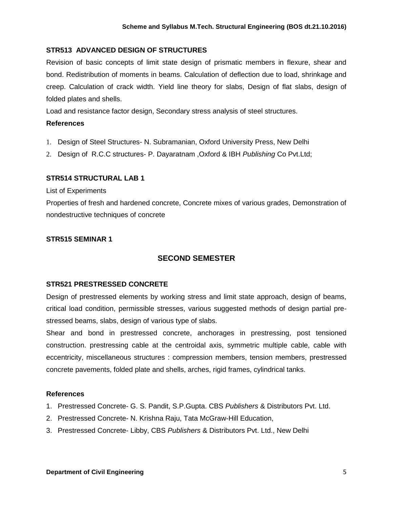# **STR513 ADVANCED DESIGN OF STRUCTURES**

Revision of basic concepts of limit state design of prismatic members in flexure, shear and bond. Redistribution of moments in beams. Calculation of deflection due to load, shrinkage and creep. Calculation of crack width. Yield line theory for slabs, Design of flat slabs, design of folded plates and shells.

Load and resistance factor design, Secondary stress analysis of steel structures.

#### **References**

- 1. Design of Steel Structures- N. Subramanian, Oxford University Press, New Delhi
- 2. Design of R.C.C structures- P. Dayaratnam ,Oxford & IBH *Publishing* Co Pvt.Ltd;

#### **STR514 STRUCTURAL LAB 1**

List of Experiments

Properties of fresh and hardened concrete, Concrete mixes of various grades, Demonstration of nondestructive techniques of concrete

#### **STR515 SEMINAR 1**

# **SECOND SEMESTER**

# **STR521 PRESTRESSED CONCRETE**

Design of prestressed elements by working stress and limit state approach, design of beams, critical load condition, permissible stresses, various suggested methods of design partial prestressed beams, slabs, design of various type of slabs.

Shear and bond in prestressed concrete, anchorages in prestressing, post tensioned construction. prestressing cable at the centroidal axis, symmetric multiple cable, cable with eccentricity, miscellaneous structures : compression members, tension members, prestressed concrete pavements, folded plate and shells, arches, rigid frames, cylindrical tanks.

#### **References**

- 1. Prestressed Concrete- G. S. Pandit, S.P.Gupta. CBS *Publishers* & Distributors Pvt. Ltd.
- 2. Prestressed Concrete- N. Krishna Raju, Tata McGraw-Hill Education,
- 3. Prestressed Concrete- Libby, CBS *Publishers* & Distributors Pvt. Ltd., New Delhi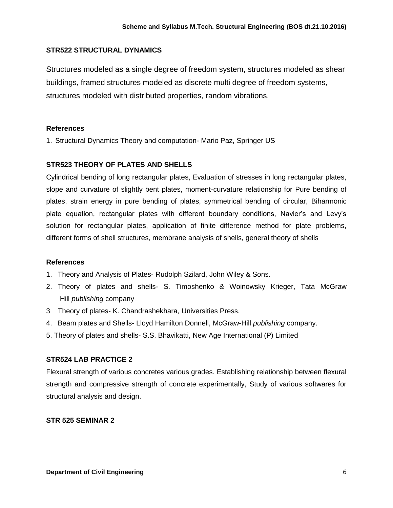# **STR522 STRUCTURAL DYNAMICS**

Structures modeled as a single degree of freedom system, structures modeled as shear buildings, framed structures modeled as discrete multi degree of freedom systems, structures modeled with distributed properties, random vibrations.

# **References**

1. Structural Dynamics Theory and computation- Mario Paz, Springer US

# **STR523 THEORY OF PLATES AND SHELLS**

Cylindrical bending of long rectangular plates, Evaluation of stresses in long rectangular plates, slope and curvature of slightly bent plates, moment-curvature relationship for Pure bending of plates, strain energy in pure bending of plates, symmetrical bending of circular, Biharmonic plate equation, rectangular plates with different boundary conditions, Navier's and Levy's solution for rectangular plates, application of finite difference method for plate problems, different forms of shell structures, membrane analysis of shells, general theory of shells

# **References**

- 1. Theory and Analysis of Plates- Rudolph Szilard, John Wiley & Sons.
- 2. Theory of plates and shells- S. Timoshenko & Woinowsky Krieger, Tata McGraw Hill *publishing* company
- 3 Theory of plates- K. Chandrashekhara, Universities Press.
- 4. Beam plates and Shells- Lloyd Hamilton Donnell, McGraw-Hill *publishing* company.
- 5. Theory of plates and shells- S.S. Bhavikatti, New Age International (P) Limited

# **STR524 LAB PRACTICE 2**

Flexural strength of various concretes various grades. Establishing relationship between flexural strength and compressive strength of concrete experimentally, Study of various softwares for structural analysis and design.

# **STR 525 SEMINAR 2**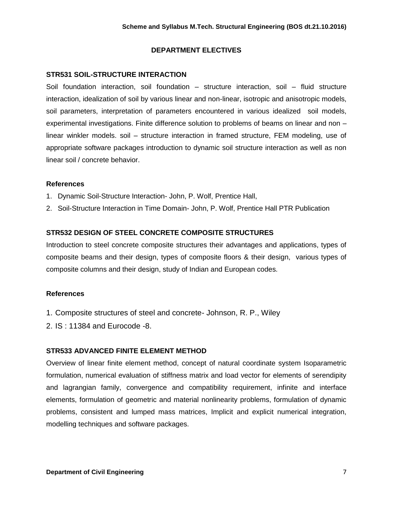# **DEPARTMENT ELECTIVES**

# **STR531 SOIL-STRUCTURE INTERACTION**

Soil foundation interaction, soil foundation – structure interaction, soil – fluid structure interaction, idealization of soil by various linear and non-linear, isotropic and anisotropic models, soil parameters, interpretation of parameters encountered in various idealized soil models, experimental investigations. Finite difference solution to problems of beams on linear and non – linear winkler models. soil – structure interaction in framed structure, FEM modeling, use of appropriate software packages introduction to dynamic soil structure interaction as well as non linear soil / concrete behavior.

# **References**

- 1. Dynamic Soil-Structure Interaction- John, P. Wolf, Prentice Hall,
- 2. Soil-Structure Interaction in Time Domain- John, P. Wolf, Prentice Hall PTR Publication

# **STR532 DESIGN OF STEEL CONCRETE COMPOSITE STRUCTURES**

Introduction to steel concrete composite structures their advantages and applications, types of composite beams and their design, types of composite floors & their design, various types of composite columns and their design, study of Indian and European codes.

# **References**

- 1. Composite structures of steel and concrete- Johnson, R. P., Wiley
- 2. IS : 11384 and Eurocode -8.

# **STR533 ADVANCED FINITE ELEMENT METHOD**

Overview of linear finite element method, concept of natural coordinate system Isoparametric formulation, numerical evaluation of stiffness matrix and load vector for elements of serendipity and lagrangian family, convergence and compatibility requirement, infinite and interface elements, formulation of geometric and material nonlinearity problems, formulation of dynamic problems, consistent and lumped mass matrices, Implicit and explicit numerical integration, modelling techniques and software packages.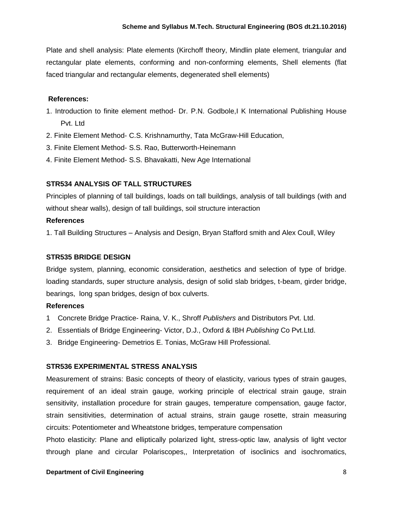Plate and shell analysis: Plate elements (Kirchoff theory, Mindlin plate element, triangular and rectangular plate elements, conforming and non-conforming elements, Shell elements (flat faced triangular and rectangular elements, degenerated shell elements)

#### **References:**

- 1. Introduction to finite element method- Dr. P.N. Godbole,I K International Publishing House Pvt. Ltd
- 2. Finite Element Method- C.S. Krishnamurthy, Tata McGraw-Hill Education,
- 3. Finite Element Method- S.S. Rao, Butterworth-Heinemann
- 4. Finite Element Method- S.S. Bhavakatti, New Age International

# **STR534 ANALYSIS OF TALL STRUCTURES**

Principles of planning of tall buildings, loads on tall buildings, analysis of tall buildings (with and without shear walls), design of tall buildings, soil structure interaction

#### **References**

1. Tall Building Structures – Analysis and Design, Bryan Stafford smith and Alex Coull, Wiley

# **STR535 BRIDGE DESIGN**

Bridge system, planning, economic consideration, aesthetics and selection of type of bridge. loading standards, super structure analysis, design of solid slab bridges, t-beam, girder bridge, bearings, long span bridges, design of box culverts.

#### **References**

- 1 Concrete Bridge Practice- Raina, V. K., Shroff *Publishers* and Distributors Pvt. Ltd.
- 2. Essentials of Bridge Engineering- Victor, D.J., Oxford & IBH *Publishing* Co Pvt.Ltd.
- 3. Bridge Engineering- Demetrios E. Tonias, McGraw Hill Professional.

# **STR536 EXPERIMENTAL STRESS ANALYSIS**

Measurement of strains: Basic concepts of theory of elasticity, various types of strain gauges, requirement of an ideal strain gauge, working principle of electrical strain gauge, strain sensitivity, installation procedure for strain gauges, temperature compensation, gauge factor, strain sensitivities, determination of actual strains, strain gauge rosette, strain measuring circuits: Potentiometer and Wheatstone bridges, temperature compensation

Photo elasticity: Plane and elliptically polarized light, stress-optic law, analysis of light vector through plane and circular Polariscopes,, Interpretation of isoclinics and isochromatics,

#### **Department of Civil Engineering 8 and 200 and 200 and 200 and 200 and 3 and 3 and 3 and 3 and 3 and 3 and 3 and 3 and 3 and 3 and 3 and 3 and 3 and 3 and 3 and 3 and 3 and 3 and 3 and 3 and 3 and 3 and 3 and 3 and 3 and 3**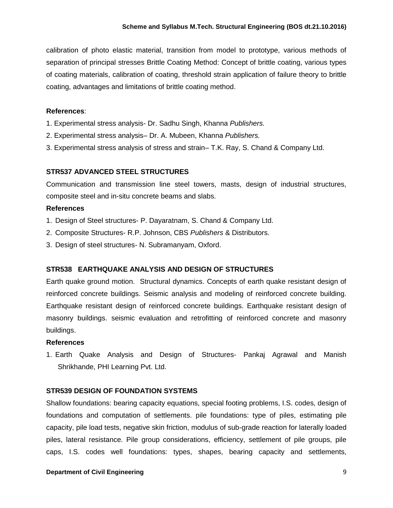calibration of photo elastic material, transition from model to prototype, various methods of separation of principal stresses Brittle Coating Method: Concept of brittle coating, various types of coating materials, calibration of coating, threshold strain application of failure theory to brittle coating, advantages and limitations of brittle coating method.

#### **References**:

- 1. Experimental stress analysis- Dr. Sadhu Singh, Khanna *Publishers.*
- 2. Experimental stress analysis– Dr. A. Mubeen, Khanna *Publishers.*
- 3. Experimental stress analysis of stress and strain– T.K. Ray, S. Chand & Company Ltd.

#### **STR537 ADVANCED STEEL STRUCTURES**

Communication and transmission line steel towers, masts, design of industrial structures, composite steel and in-situ concrete beams and slabs.

#### **References**

- 1. Design of Steel structures- P. Dayaratnam, S. Chand & Company Ltd.
- 2. Composite Structures- R.P. Johnson, CBS *Publishers* & Distributors.
- 3. Design of steel structures- N. Subramanyam, Oxford.

# **STR538 EARTHQUAKE ANALYSIS AND DESIGN OF STRUCTURES**

Earth quake ground motion. Structural dynamics. Concepts of earth quake resistant design of reinforced concrete buildings. Seismic analysis and modeling of reinforced concrete building. Earthquake resistant design of reinforced concrete buildings. Earthquake resistant design of masonry buildings. seismic evaluation and retrofitting of reinforced concrete and masonry buildings.

#### **References**

1. Earth Quake Analysis and Design of Structures- Pankaj Agrawal and Manish Shrikhande, PHI Learning Pvt. Ltd.

#### **STR539 DESIGN OF FOUNDATION SYSTEMS**

Shallow foundations: bearing capacity equations, special footing problems, I.S. codes, design of foundations and computation of settlements. pile foundations: type of piles, estimating pile capacity, pile load tests, negative skin friction, modulus of sub-grade reaction for laterally loaded piles, lateral resistance. Pile group considerations, efficiency, settlement of pile groups, pile caps, I.S. codes well foundations: types, shapes, bearing capacity and settlements,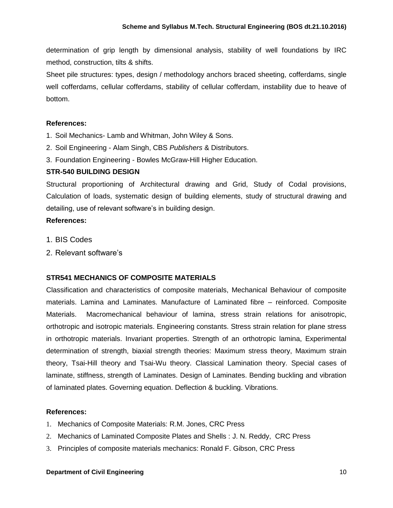determination of grip length by dimensional analysis, stability of well foundations by IRC method, construction, tilts & shifts.

Sheet pile structures: types, design / methodology anchors braced sheeting, cofferdams, single well cofferdams, cellular cofferdams, stability of cellular cofferdam, instability due to heave of bottom.

# **References:**

- 1. Soil Mechanics- Lamb and Whitman, John Wiley & Sons.
- 2. Soil Engineering Alam Singh, CBS *Publishers* & Distributors.
- 3. Foundation Engineering Bowles McGraw-Hill Higher Education.

# **STR-540 BUILDING DESIGN**

Structural proportioning of Architectural drawing and Grid, Study of Codal provisions, Calculation of loads, systematic design of building elements, study of structural drawing and detailing, use of relevant software's in building design.

# **References:**

- 1. BIS Codes
- 2. Relevant software's

# **STR541 MECHANICS OF COMPOSITE MATERIALS**

Classification and characteristics of composite materials, Mechanical Behaviour of composite materials. Lamina and Laminates. Manufacture of Laminated fibre – reinforced. Composite Materials. Macromechanical behaviour of lamina, stress strain relations for anisotropic, orthotropic and isotropic materials. Engineering constants. Stress strain relation for plane stress in orthotropic materials. Invariant properties. Strength of an orthotropic lamina, Experimental determination of strength, biaxial strength theories: Maximum stress theory, Maximum strain theory, Tsai-Hill theory and Tsai-Wu theory. Classical Lamination theory. Special cases of laminate, stiffness, strength of Laminates. Design of Laminates. Bending buckling and vibration of laminated plates. Governing equation. Deflection & buckling. Vibrations.

# **References:**

- 1. Mechanics of Composite Materials: R.M. Jones, CRC Press
- 2. Mechanics of Laminated Composite Plates and Shells : J. N. Reddy, CRC Press
- 3. Principles of composite materials mechanics: Ronald F. Gibson, CRC Press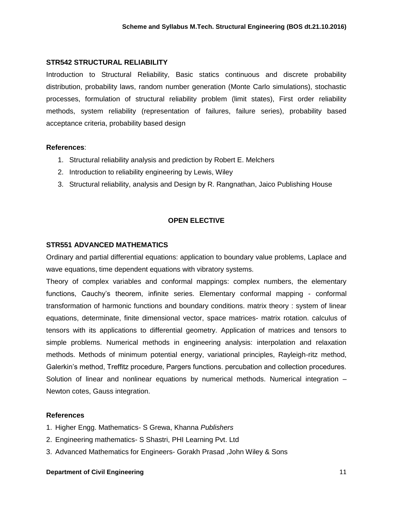#### **STR542 STRUCTURAL RELIABILITY**

Introduction to Structural Reliability, Basic statics continuous and discrete probability distribution, probability laws, random number generation (Monte Carlo simulations), stochastic processes, formulation of structural reliability problem (limit states), First order reliability methods, system reliability (representation of failures, failure series), probability based acceptance criteria, probability based design

#### **References**:

- 1. Structural reliability analysis and prediction by Robert E. Melchers
- 2. Introduction to reliability engineering by Lewis, Wiley
- 3. Structural reliability, analysis and Design by R. Rangnathan, Jaico Publishing House

# **OPEN ELECTIVE**

#### **STR551 ADVANCED MATHEMATICS**

Ordinary and partial differential equations: application to boundary value problems, Laplace and wave equations, time dependent equations with vibratory systems.

Theory of complex variables and conformal mappings: complex numbers, the elementary functions, Cauchy's theorem, infinite series. Elementary conformal mapping - conformal transformation of harmonic functions and boundary conditions. matrix theory : system of linear equations, determinate, finite dimensional vector, space matrices- matrix rotation. calculus of tensors with its applications to differential geometry. Application of matrices and tensors to simple problems. Numerical methods in engineering analysis: interpolation and relaxation methods. Methods of minimum potential energy, variational principles, Rayleigh-ritz method, Galerkin's method, Treffitz procedure, Pargers functions. percubation and collection procedures. Solution of linear and nonlinear equations by numerical methods. Numerical integration – Newton cotes, Gauss integration.

# **References**

- 1. Higher Engg. Mathematics- S Grewa, Khanna *Publishers*
- 2. Engineering mathematics- S Shastri, PHI Learning Pvt. Ltd
- 3. Advanced Mathematics for Engineers- Gorakh Prasad ,John Wiley & Sons

#### **Department of Civil Engineering 11 and 200 and 200 and 200 and 200 and 200 and 200 and 200 and 200 and 200 and 200 and 200 and 200 and 200 and 200 and 200 and 200 and 200 and 200 and 200 and 200 and 200 and 200 and 200 an**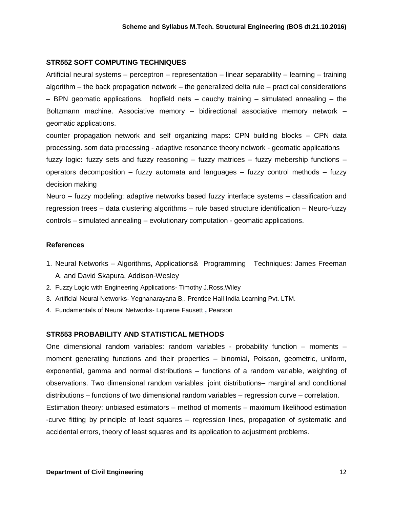#### **STR552 SOFT COMPUTING TECHNIQUES**

Artificial neural systems – perceptron – representation – linear separability – learning – training algorithm – the back propagation network – the generalized delta rule – practical considerations  $-$  BPN geomatic applications. hopfield nets  $-$  cauchy training  $-$  simulated annealing  $-$  the Boltzmann machine. Associative memory – bidirectional associative memory network – geomatic applications.

counter propagation network and self organizing maps: CPN building blocks – CPN data processing. som data processing - adaptive resonance theory network - geomatic applications fuzzy logic**:** fuzzy sets and fuzzy reasoning – fuzzy matrices – fuzzy mebership functions – operators decomposition – fuzzy automata and languages – fuzzy control methods – fuzzy decision making

Neuro – fuzzy modeling: adaptive networks based fuzzy interface systems – classification and regression trees – data clustering algorithms – rule based structure identification – Neuro-fuzzy controls – simulated annealing – evolutionary computation - geomatic applications.

#### **References**

- 1. Neural Networks Algorithms, Applications& Programming Techniques: James Freeman A. and David Skapura, Addison-Wesley
- 2. Fuzzy Logic with Engineering Applications- Timothy J.Ross,Wiley
- 3. Artificial Neural Networks- Yegnanarayana B,. Prentice Hall India Learning Pvt. LTM.
- 4. Fundamentals of Neural Networks- Lqurene Fausett **,** Pearson

#### **STR553 PROBABILITY AND STATISTICAL METHODS**

One dimensional random variables: random variables - probability function – moments – moment generating functions and their properties – binomial, Poisson, geometric, uniform, exponential, gamma and normal distributions – functions of a random variable, weighting of observations. Two dimensional random variables: joint distributions– marginal and conditional distributions – functions of two dimensional random variables – regression curve – correlation. Estimation theory: unbiased estimators – method of moments – maximum likelihood estimation -curve fitting by principle of least squares – regression lines, propagation of systematic and accidental errors, theory of least squares and its application to adjustment problems.